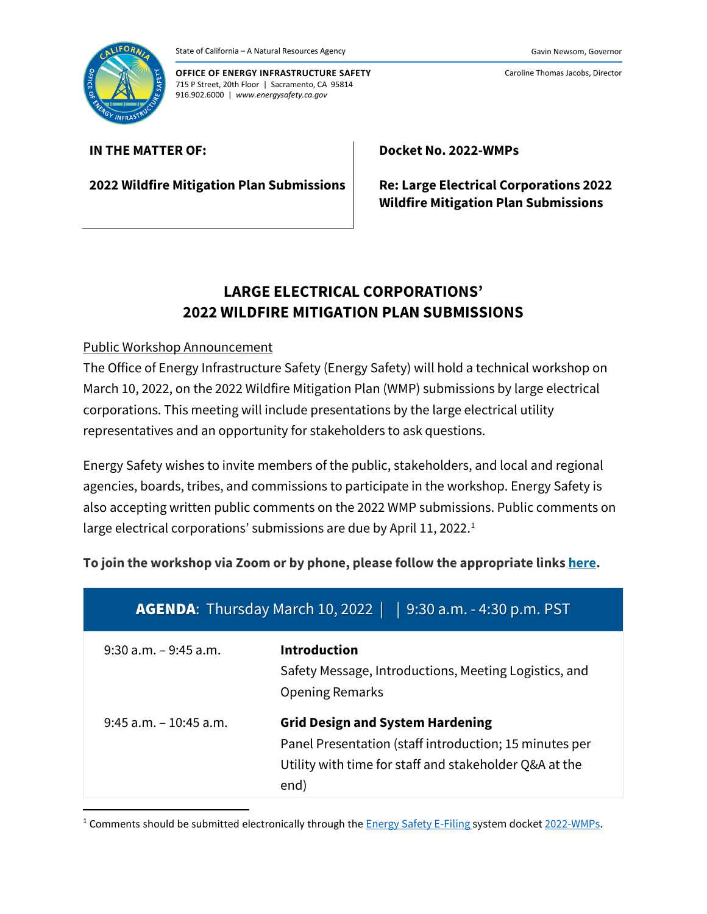



**OFFICE OF ENERGY INFRASTRUCTURE SAFETY** 715 P Street, 20th Floor | Sacramento, CA 95814 916.902.6000 | *www.energysafety.ca.gov*

Caroline Thomas Jacobs, Director

## **IN THE MATTER OF:**

**2022 Wildfire Mitigation Plan Submissions**

**Docket No. 2022-WMPs**

**Re: Large Electrical Corporations 2022 Wildfire Mitigation Plan Submissions**

# **LARGE ELECTRICAL CORPORATIONS' 2022 WILDFIRE MITIGATION PLAN SUBMISSIONS**

## Public Workshop Announcement

The Office of Energy Infrastructure Safety (Energy Safety) will hold a technical workshop on March 10, 2022, on the 2022 Wildfire Mitigation Plan (WMP) submissions by large electrical corporations. This meeting will include presentations by the large electrical utility representatives and an opportunity for stakeholders to ask questions.

Energy Safety wishes to invite members of the public, stakeholders, and local and regional agencies, boards, tribes, and commissions to participate in the workshop. Energy Safety is also accepting written public comments on the 2022 WMP submissions. Public comments on large electrical corporations' submissions are due by April 11, 2022. [1](#page-0-0)

## **To join the workshop via Zoom or by phone, please follow the appropriate links [here.](https://energysafety.ca.gov/events-and-meetings/public-meetings/)**

| <b>AGENDA:</b> Thursday March 10, 2022<br>9:30 a.m. - 4:30 p.m. PST |                                                                                                                                                                     |
|---------------------------------------------------------------------|---------------------------------------------------------------------------------------------------------------------------------------------------------------------|
| $9:30$ a.m. $-9:45$ a.m.                                            | <b>Introduction</b><br>Safety Message, Introductions, Meeting Logistics, and<br><b>Opening Remarks</b>                                                              |
| $9:45$ a.m. $-10:45$ a.m.                                           | <b>Grid Design and System Hardening</b><br>Panel Presentation (staff introduction; 15 minutes per<br>Utility with time for staff and stakeholder Q&A at the<br>end) |

<span id="page-0-0"></span><sup>1</sup> Comments should be submitted electronically through the **[Energy Safety E-Filing](https://efiling.energysafety.ca.gov/) system docket** [2022-WMPs.](https://efiling.energysafety.ca.gov/Lists/DocketLog.aspx?docketnumber=2022-WMPs)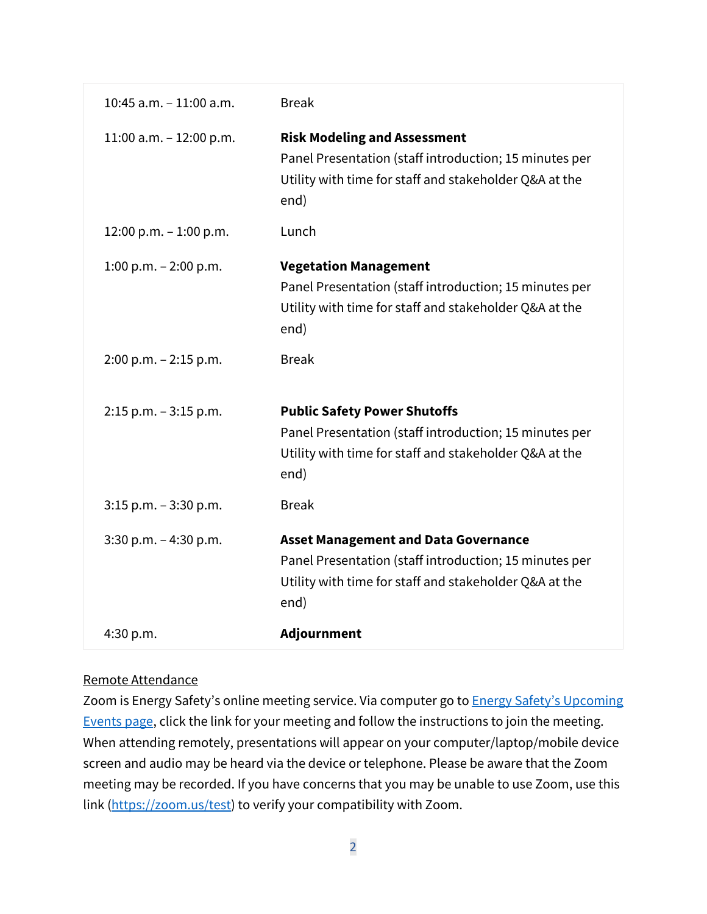| 10:45 a.m. $-11:00$ a.m.  | <b>Break</b>                                                                                                                                                            |
|---------------------------|-------------------------------------------------------------------------------------------------------------------------------------------------------------------------|
| 11:00 a.m. $-$ 12:00 p.m. | <b>Risk Modeling and Assessment</b><br>Panel Presentation (staff introduction; 15 minutes per<br>Utility with time for staff and stakeholder Q&A at the<br>end)         |
| 12:00 p.m. $-1:00$ p.m.   | Lunch                                                                                                                                                                   |
| 1:00 p.m. $-$ 2:00 p.m.   | <b>Vegetation Management</b><br>Panel Presentation (staff introduction; 15 minutes per<br>Utility with time for staff and stakeholder Q&A at the<br>end)                |
| $2:00$ p.m. $-2:15$ p.m.  | <b>Break</b>                                                                                                                                                            |
| $2:15$ p.m. $-3:15$ p.m.  | <b>Public Safety Power Shutoffs</b><br>Panel Presentation (staff introduction; 15 minutes per<br>Utility with time for staff and stakeholder Q&A at the<br>end)         |
| $3:15$ p.m. $-3:30$ p.m.  | <b>Break</b>                                                                                                                                                            |
| $3:30$ p.m. $-4:30$ p.m.  | <b>Asset Management and Data Governance</b><br>Panel Presentation (staff introduction; 15 minutes per<br>Utility with time for staff and stakeholder Q&A at the<br>end) |
| 4:30 p.m.                 | Adjournment                                                                                                                                                             |

## Remote Attendance

Zoom is Energy Safety's online meeting service. Via computer go to **Energy Safety's Upcoming** [Events page,](https://energysafety.ca.gov/events-and-meetings/) click the link for your meeting and follow the instructions to join the meeting. When attending remotely, presentations will appear on your computer/laptop/mobile device screen and audio may be heard via the device or telephone. Please be aware that the Zoom meeting may be recorded. If you have concerns that you may be unable to use Zoom, use this link [\(https://zoom.us/test\)](https://zoom.us/test) to verify your compatibility with Zoom.